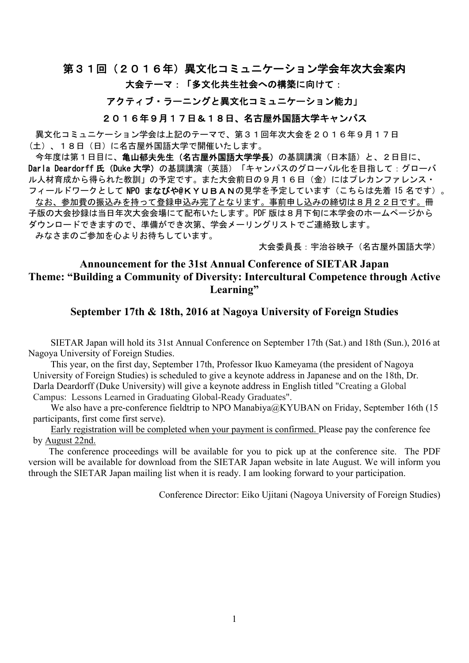# 第31回(2016年)異文化コミュニケーション学会年次大会案内

#### 大会テーマ:「多文化共生社会への構築に向けて:

### アクティブ・ラーニングと異文化コミュニケーション能力」

#### 2016年9月17日&18日、名古屋外国語大学キャンパス

異文化コミュニケーション学会は上記のテーマで、第31回年次大会を2016年9月17日 (土)、18日(日)に名古屋外国語大学で開催いたします。

今年度は第1日目に、**亀山郁夫先生(名古屋外国語大学学長)**の基調講演(日本語)と、2日目に、 Darla Deardorff氏 (Duke 大学)の基調講演(英語)「キャンパスのグローバル化を目指して:グローバ ル人材育成から得られた教訓」の予定です。また大会前日の9月16日(金)にはプレカンファレンス・ フィールドワークとして NPO まなびや@KYUBANの見学を予定しています(こちらは先着15名です)。 なお、参加費の振込みを持って登録申込み完了となります。事前申し込みの締切は8月22日です。冊 子版の大会抄録は当日年次大会会場にて配布いたします。PDF 版は8月下旬に本学会のホームページから ダウンロードできますので、準備ができ次第、学会メーリングリストでご連絡致します。 みなさまのご参加を心よりお待ちしています。

大会委員長:宇治谷映子(名古屋外国語大学)

### **Announcement for the 31st Annual Conference of SIETAR Japan Theme: "Building a Community of Diversity: Intercultural Competence through Active Learning"**

#### **September 17th & 18th, 2016 at Nagoya University of Foreign Studies**

SIETAR Japan will hold its 31st Annual Conference on September 17th (Sat.) and 18th (Sun.), 2016 at Nagoya University of Foreign Studies.

This year, on the first day, September 17th, Professor Ikuo Kameyama (the president of Nagoya University of Foreign Studies) is scheduled to give a keynote address in Japanese and on the 18th, Dr. Darla Deardorff (Duke University) will give a keynote address in English titled "Creating a Global Campus: Lessons Learned in Graduating Global-Ready Graduates".

We also have a pre-conference fieldtrip to NPO Manabiya@KYUBAN on Friday, September 16th (15) participants, first come first serve).

Early registration will be completed when your payment is confirmed. Please pay the conference fee by August 22nd.

The conference proceedings will be available for you to pick up at the conference site. The PDF version will be available for download from the SIETAR Japan website in late August. We will inform you through the SIETAR Japan mailing list when it is ready. I am looking forward to your participation.

Conference Director: Eiko Ujitani (Nagoya University of Foreign Studies)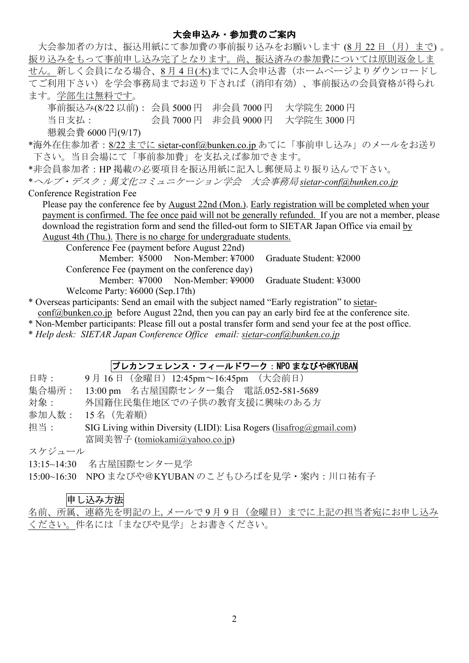#### 大会申込み・参加費のご案内

| 大会参加者の方は、振込用紙にて参加費の事前振り込みをお願いします (8月22日(月)まで)。                                                          |  |  |  |  |  |
|---------------------------------------------------------------------------------------------------------|--|--|--|--|--|
| 振り込みをもって事前申し込み完了となります。尚、振込済みの参加費については原則返金しま                                                             |  |  |  |  |  |
| せん。新しく会員になる場合、8月4日(木)までに入会申込書(ホームページよりダウンロードし                                                           |  |  |  |  |  |
| てご利用下さい)を学会事務局までお送り下されば(消印有効)、事前振込の会員資格が得られ                                                             |  |  |  |  |  |
| ます。学部生は無料です。                                                                                            |  |  |  |  |  |
| 事前振込み(8/22 以前): 会員 5000円 非会員 7000円 大学院生 2000円                                                           |  |  |  |  |  |
| 大学院生 3000円                                                                                              |  |  |  |  |  |
| 懇親会費 6000円(9/17)                                                                                        |  |  |  |  |  |
| *海外在住参加者: <u>8/22 までに sietar-conf@bunken.co.jp</u> あてに「事前申し込み」のメールをお送り                                  |  |  |  |  |  |
| 下さい。当日会場にて「事前参加費」を支払えば参加できます。                                                                           |  |  |  |  |  |
| *非会員参加者:HP掲載の必要項目を振込用紙に記入し郵便局より振り込んで下さい。                                                                |  |  |  |  |  |
| *ヘルプ・デスク:異文化コミュニケーション学会 大会事務局 sietar-conf@bunken.co.jp                                                  |  |  |  |  |  |
| Conference Registration Fee                                                                             |  |  |  |  |  |
| Please pay the conference fee by August 22nd (Mon.). Early registration will be completed when your     |  |  |  |  |  |
| payment is confirmed. The fee once paid will not be generally refunded. If you are not a member, please |  |  |  |  |  |
| download the registration form and send the filled-out form to SIETAR Japan Office via email by         |  |  |  |  |  |
| August 4th (Thu.). There is no charge for undergraduate students.                                       |  |  |  |  |  |
| Conference Fee (payment before August 22nd)                                                             |  |  |  |  |  |
| Member: ¥5000 Non-Member: ¥7000<br>Graduate Student: ¥2000                                              |  |  |  |  |  |
| Conference Fee (payment on the conference day)                                                          |  |  |  |  |  |
| Member: ¥7000 Non-Member: ¥9000<br>Graduate Student: ¥3000                                              |  |  |  |  |  |
| Welcome Party: ¥6000 (Sep.17th)                                                                         |  |  |  |  |  |
| * Overseas participants: Send an email with the subject named "Early registration" to sietar-           |  |  |  |  |  |
| conf@bunken.co.jp before August 22nd, then you can pay an early bird fee at the conference site.        |  |  |  |  |  |
| * Non-Member participants: Please fill out a postal transfer form and send your fee at the post office. |  |  |  |  |  |
| * Help desk: SIETAR Japan Conference Office email: sietar-conf@bunken.co.jp                             |  |  |  |  |  |

### プレカンフェレンス・フィールドワーク:NPO まなびや@KYUBAN

| 日時: |  | 9月16日(金曜日)12:45pm~16:45pm (大会前日) |  |
|-----|--|----------------------------------|--|
|     |  |                                  |  |

- 集合場所: 13:00 pm 名古屋国際センター集合 電話.052-581-5689
- 対象: 外国籍住民集住地区での子供の教育支援に興味のある方
- 参加人数: 15 名(先着順)
- 担当: SIG Living within Diversity (LIDI): Lisa Rogers (lisafrog@gmail.com) 富岡美智子 (tomiokami@yahoo.co.jp)

スケジュール

13:15~14:30 名古屋国際センター見学

15:00~16:30 NPO まなびや@KYUBAN のこどもひろばを見学・案内:川口祐有子

### 申し込み方法

名前、所属、連絡先を明記の上,メールで9月9日 (金曜日)までに上記の担当者宛にお申し込み ください。件名には「まなびや見学」とお書きください。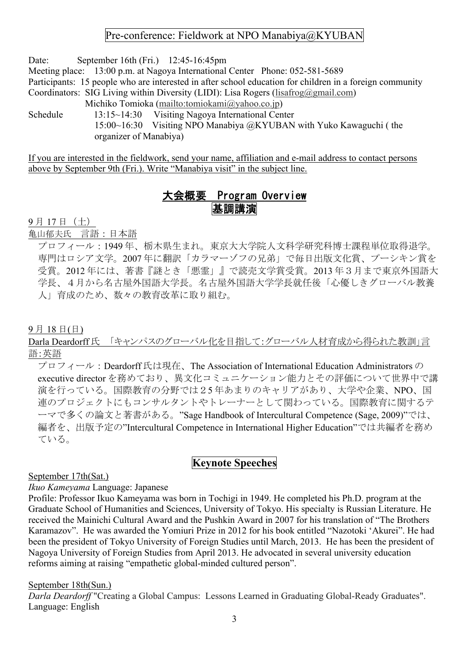## Pre-conference: Fieldwork at NPO Manabiya@KYUBAN

Date: September 16th (Fri.) 12:45-16:45pm

Meeting place: 13:00 p.m. at Nagoya International Center Phone: 052-581-5689

Participants: 15 people who are interested in after school education for children in a foreign community Coordinators: SIG Living within Diversity (LIDI): Lisa Rogers (lisafrog@gmail.com)

Michiko Tomioka (mailto:tomiokami@yahoo.co.jp)

Schedule 13:15~14:30 Visiting Nagoya International Center 15:00~16:30 Visiting NPO Manabiya @KYUBAN with Yuko Kawaguchi ( the organizer of Manabiya)

If you are interested in the fieldwork, send your name, affiliation and e-mail address to contact persons above by September 9th (Fri.). Write "Manabiya visit" in the subject line.

# 大会概要 Program Overview 基調講演

9 月 17 日(土)

亀山郁夫氏 言語:日本語

プロフィール:1949 年、栃木県生まれ。東京大大学院人文科学研究科博士課程単位取得退学。 専門はロシア文学。2007 年に翻訳「カラマーゾフの兄弟」で毎日出版文化賞、プーシキン賞を 受賞。2012 年には、著書『謎とき「悪霊」』で読売文学賞受賞。2013 年3月まで東京外国語大 学長、4月から名古屋外国語大学長。名古屋外国語大学学長就任後「心優しきグローバル教養 人」育成のため、数々の教育改革に取り組む。

9 月 18 日(日)

Darla Deardorff 氏 「キャンパスのグローバル化を目指して:グローバル人材育成から得られた教訓」言 語:英語

プロフィール: Deardorff 氏は現在、The Association of International Education Administrators の executive director を務めており、異文化コミュニケーション能力とその評価について世界中で講 演を行っている。国際教育の分野では25 年あまりのキャリアがあり、大学や企業、NPO、国 連のプロジェクトにもコンサルタントやトレーナーとして関わっている。国際教育に関するテ ーマで多くの論文と著書がある。"Sage Handbook of Intercultural Competence (Sage, 2009)"では、 編者を、出版予定の"Intercultural Competence in International Higher Education"では共編者を務め ている。

# **Keynote Speeches**

September 17th(Sat.)

*Ikuo Kameyama* Language: Japanese

Profile: Professor Ikuo Kameyama was born in Tochigi in 1949. He completed his Ph.D. program at the Graduate School of Humanities and Sciences, University of Tokyo. His specialty is Russian Literature. He received the Mainichi Cultural Award and the Pushkin Award in 2007 for his translation of "The Brothers Karamazov". He was awarded the Yomiuri Prize in 2012 for his book entitled "Nazotoki 'Akurei". He had been the president of Tokyo University of Foreign Studies until March, 2013. He has been the president of Nagoya University of Foreign Studies from April 2013. He advocated in several university education reforms aiming at raising "empathetic global-minded cultured person".

September 18th(Sun.)

*Darla Deardorff* "Creating a Global Campus: Lessons Learned in Graduating Global-Ready Graduates". Language: English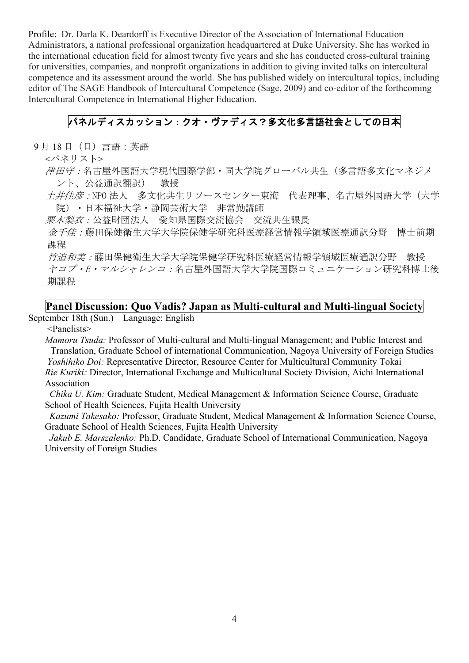Profile: Dr. Darla K. Deardorff is Executive Director of the Association of International Education Administrators, a national professional organization headquartered at Duke University. She has worked in the international education field for almost twenty five years and she has conducted cross-cultural training for universities, companies, and nonprofit organizations in addition to giving invited talks on intercultural competence and its assessment around the world. She has published widely on intercultural topics, including editor of The SAGE Handbook of Intercultural Competence (Sage, 2009) and co-editor of the forthcoming Intercultural Competence in International Higher Education.

## パネルディスカッション:クオ・ヴァディス?多文化多言語社会としての日本

9 月 18 日(日)言語:英語

<パネリスト>

- 津田守:名古屋外国語大学現代国際学部・同大学院グローバル共生(多言語多文化マネジメ ント、公益通訳翻訳) 教授
- 土井佳彦:NPO 法人 多文化共生リソースセンター東海 代表理事、名古屋外国語大学(大学 院)・日本福祉大学・静岡芸術大学 非常勤講師

栗木梨衣:公益財団法人 愛知県国際交流協会 交流共生課長

金千佳:藤田保健衛生大学大学院保健学研究科医療経営情報学領域医療通訳分野 博士前期 課程

竹迫和美:藤田保健衛生大学大学院保健学研究科医療経営情報学領域医療通訳分野 教授 ヤコブ・E・マルシャレンコ:名古屋外国語大学大学院国際コミュニケーション研究科博士後 期課程

### **Panel Discussion: Quo Vadis? Japan as Multi-cultural and Multi-lingual Society**

September 18th (Sun.) Language: English

<Panelists>

*Mamoru Tsuda:* Professor of Multi-cultural and Multi-lingual Management; and Public Interest and Translation, Graduate School of international Communication, Nagoya University of Foreign Studies *Yoshihiko Doi:* Representative Director, Resource Center for Multicultural Community Tokai *Rie Kuriki:* Director, International Exchange and Multicultural Society Division, Aichi International Association

*Chika U. Kim:* Graduate Student, Medical Management & Information Science Course, Graduate School of Health Sciences, Fujita Health University

*Kazumi Takesako:* Professor, Graduate Student, Medical Management & Information Science Course, Graduate School of Health Sciences, Fujita Health University

*Jakub E. Marszalenko:* Ph.D. Candidate, Graduate School of International Communication, Nagoya University of Foreign Studies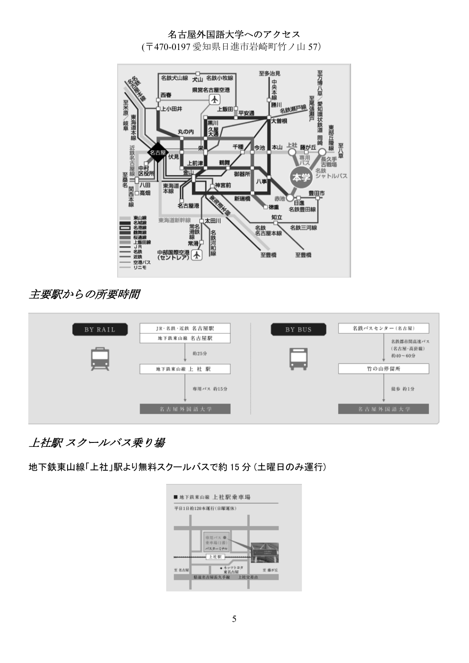### 名古屋外国語大学へのアクセス

(〒470-0197 愛知県日進市岩崎町竹ノ山 57)



# 主要駅からの所要時間

| BY RAIL | JR·名鉄·近鉄 名古屋駅                                    | BY BUS | 名鉄バスセンター(名古屋)                                         |
|---------|--------------------------------------------------|--------|-------------------------------------------------------|
|         | 地下鉄東山線 名古屋駅<br>約25分<br>地下鉄東山線 上 社 駅<br>専用パス 約15分 |        | 名鉄都市関高速バス<br>(名古屋·高針線)<br>約40~60分<br>竹の山停留所<br>徒步 約1分 |
|         | 名古屋外国語大学                                         |        | 名古屋外国語大学                                              |

# 上社駅 スクールバス乗り場

地下鉄東山線「上社」駅より無料スクールバスで約 15 分 (土曜日のみ運行)